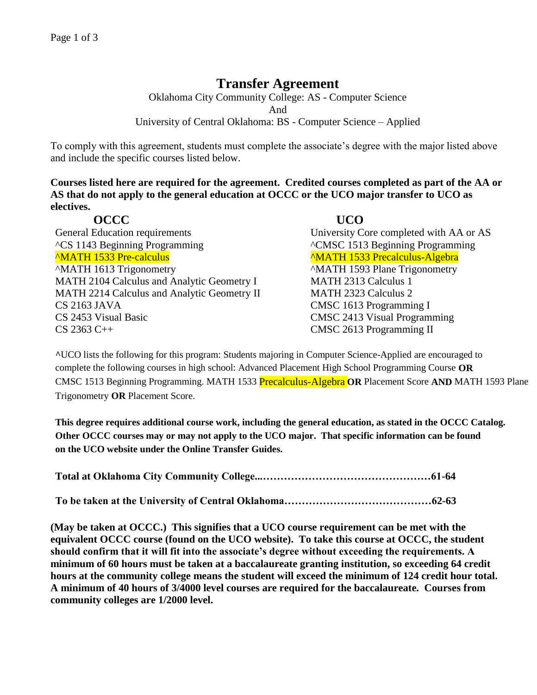# **Transfer Agreement**

Oklahoma City Community College: AS - Computer Science And University of Central Oklahoma: BS - Computer Science – Applied

To comply with this agreement, students must complete the associate's degree with the major listed above and include the specific courses listed below.

**Courses listed here are required for the agreement. Credited courses completed as part of the AA or AS that do not apply to the general education at OCCC or the UCO major transfer to UCO as electives.**

| <b>OCCC</b>                                 | <b>UCO</b>                              |
|---------------------------------------------|-----------------------------------------|
| <b>General Education requirements</b>       | University Core completed with AA or AS |
| <sup>^</sup> CS 1143 Beginning Programming  |                                         |
| <b>MATH 1533 Pre-calculus</b>               | <b>MATH 1533 Precalculus-Algebra</b>    |
| "MATH 1613 Trigonometry                     | <b>MATH 1593 Plane Trigonometry</b>     |
| MATH 2104 Calculus and Analytic Geometry I  | <b>MATH 2313 Calculus 1</b>             |
| MATH 2214 Calculus and Analytic Geometry II | <b>MATH 2323 Calculus 2</b>             |
| CS 2163 JAVA                                | CMSC 1613 Programming I                 |
| CS 2453 Visual Basic                        | <b>CMSC 2413 Visual Programming</b>     |
| $CS$ 2363 C++                               | CMSC 2613 Programming II                |

**^**UCO lists the following for this program: Students majoring in Computer Science-Applied are encouraged to complete the following courses in high school: Advanced Placement High School Programming Course **OR** CMSC 1513 Beginning Programming. MATH 1533 Precalculus-Algebra **OR** Placement Score **AND** MATH 1593 Plane Trigonometry **OR** Placement Score.

**This degree requires additional course work, including the general education, as stated in the OCCC Catalog. Other OCCC courses may or may not apply to the UCO major. That specific information can be found on the UCO website under the Online Transfer Guides.** 

**(May be taken at OCCC.) This signifies that a UCO course requirement can be met with the equivalent OCCC course (found on the UCO website). To take this course at OCCC, the student should confirm that it will fit into the associate's degree without exceeding the requirements. A minimum of 60 hours must be taken at a baccalaureate granting institution, so exceeding 64 credit hours at the community college means the student will exceed the minimum of 124 credit hour total. A minimum of 40 hours of 3/4000 level courses are required for the baccalaureate. Courses from community colleges are 1/2000 level.**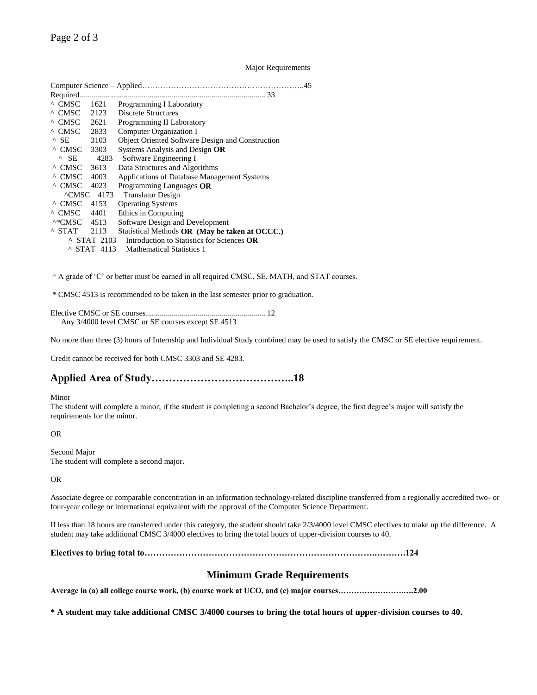## Major Requirements

| Required                  |                       |                                                  |
|---------------------------|-----------------------|--------------------------------------------------|
| $^{\wedge}$ CMSC          | 1621                  | Programming I Laboratory                         |
| $^{\wedge}$ CMSC          | 2123                  | Discrete Structures                              |
| $^{\wedge}$ CMSC          | 2621                  | Programming II Laboratory                        |
| $^{\circ}$ CMSC 2833      |                       | Computer Organization I                          |
| $^{\wedge}$ SE.           | 3103                  | Object Oriented Software Design and Construction |
| $^{\wedge}$ CMSC 3303     |                       | Systems Analysis and Design OR                   |
| $^{\circ}$ SE             | 4283                  | Software Engineering I                           |
| ^ CMSC                    | 3613                  | Data Structures and Algorithms                   |
| $^{\wedge}$ CMSC          | 4003                  | Applications of Database Management Systems      |
| ^ CMSC                    | 4023                  | Programming Languages OR                         |
|                           | $\triangle$ CMSC 4173 | <b>Translator Design</b>                         |
| ^ CMSC                    | 4153                  | <b>Operating Systems</b>                         |
| $^{\wedge}$ CMSC          | 4401                  | Ethics in Computing                              |
| $^{\wedge\ast}$ CMSC 4513 |                       | Software Design and Development                  |
| $^{\wedge}$ STAT          | 2113                  | Statistical Methods OR (May be taken at OCCC.)   |
|                           | $\sim$ STAT 2103      | Introduction to Statistics for Sciences OR       |
|                           | STAT 4113             | <b>Mathematical Statistics 1</b>                 |
|                           |                       |                                                  |

^ A grade of 'C' or better must be earned in all required CMSC, SE, MATH, and STAT courses.

\* CMSC 4513 is recommended to be taken in the last semester prior to graduation.

Elective CMSC or SE courses............................................................ 12 Any 3/4000 level CMSC or SE courses except SE 4513

No more than three (3) hours of Internship and Individual Study combined may be used to satisfy the CMSC or SE elective requirement.

Credit cannot be received for both CMSC 3303 and SE 4283.

# **Applied Area of Study…………………………………..18**

#### Minor

The student will complete a minor; if the student is completing a second Bachelor's degree, the first degree's major will satisfy the requirements for the minor.

## OR

Second Major The student will complete a second major.

### OR

Associate degree or comparable concentration in an information technology-related discipline transferred from a regionally accredited two- or four-year college or international equivalent with the approval of the Computer Science Department.

If less than 18 hours are transferred under this category, the student should take 2/3/4000 level CMSC electives to make up the difference. A student may take additional CMSC 3/4000 electives to bring the total hours of upper-division courses to 40.

### **Electives to bring total to……………………………………………………………………..……….124**

## **Minimum Grade Requirements**

**Average in (a) all college course work, (b) course work at UCO, and (c) major courses…………………….….2.00**

**\* A student may take additional CMSC 3/4000 courses to bring the total hours of upper-division courses to 40.**